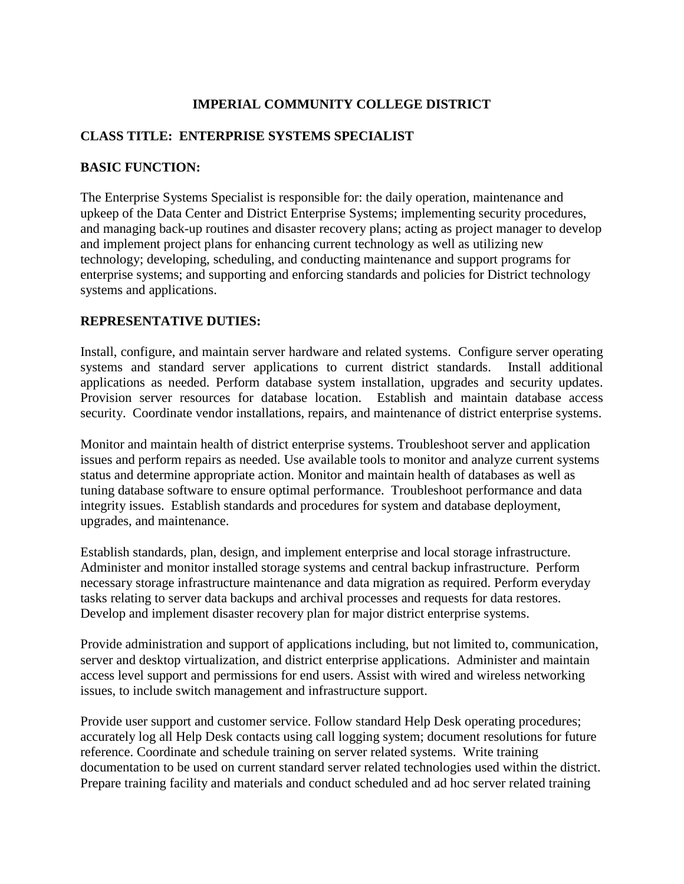### **IMPERIAL COMMUNITY COLLEGE DISTRICT**

### **CLASS TITLE: ENTERPRISE SYSTEMS SPECIALIST**

#### **BASIC FUNCTION:**

The Enterprise Systems Specialist is responsible for: the daily operation, maintenance and upkeep of the Data Center and District Enterprise Systems; implementing security procedures, and managing back-up routines and disaster recovery plans; acting as project manager to develop and implement project plans for enhancing current technology as well as utilizing new technology; developing, scheduling, and conducting maintenance and support programs for enterprise systems; and supporting and enforcing standards and policies for District technology systems and applications.

#### **REPRESENTATIVE DUTIES:**

Install, configure, and maintain server hardware and related systems. Configure server operating systems and standard server applications to current district standards. Install additional applications as needed. Perform database system installation, upgrades and security updates. Provision server resources for database location. Establish and maintain database access security. Coordinate vendor installations, repairs, and maintenance of district enterprise systems.

Monitor and maintain health of district enterprise systems. Troubleshoot server and application issues and perform repairs as needed. Use available tools to monitor and analyze current systems status and determine appropriate action. Monitor and maintain health of databases as well as tuning database software to ensure optimal performance. Troubleshoot performance and data integrity issues. Establish standards and procedures for system and database deployment, upgrades, and maintenance.

Establish standards, plan, design, and implement enterprise and local storage infrastructure. Administer and monitor installed storage systems and central backup infrastructure. Perform necessary storage infrastructure maintenance and data migration as required. Perform everyday tasks relating to server data backups and archival processes and requests for data restores. Develop and implement disaster recovery plan for major district enterprise systems.

Provide administration and support of applications including, but not limited to, communication, server and desktop virtualization, and district enterprise applications. Administer and maintain access level support and permissions for end users. Assist with wired and wireless networking issues, to include switch management and infrastructure support.

Provide user support and customer service. Follow standard Help Desk operating procedures; accurately log all Help Desk contacts using call logging system; document resolutions for future reference. Coordinate and schedule training on server related systems. Write training documentation to be used on current standard server related technologies used within the district. Prepare training facility and materials and conduct scheduled and ad hoc server related training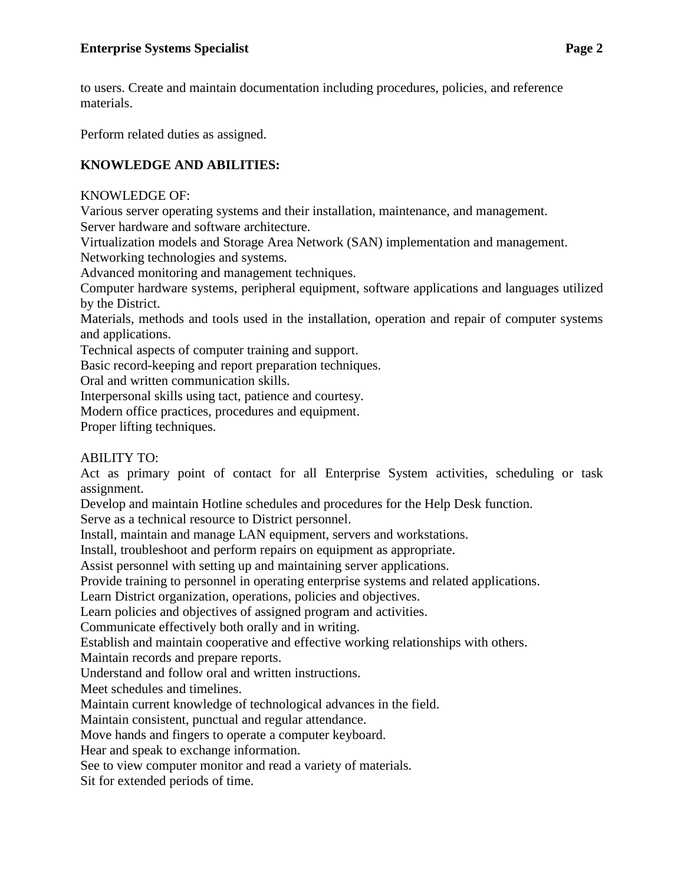to users. Create and maintain documentation including procedures, policies, and reference materials.

Perform related duties as assigned.

# **KNOWLEDGE AND ABILITIES:**

## KNOWLEDGE OF:

Various server operating systems and their installation, maintenance, and management. Server hardware and software architecture.

Virtualization models and Storage Area Network (SAN) implementation and management. Networking technologies and systems.

Advanced monitoring and management techniques.

Computer hardware systems, peripheral equipment, software applications and languages utilized by the District.

Materials, methods and tools used in the installation, operation and repair of computer systems and applications.

Technical aspects of computer training and support.

Basic record-keeping and report preparation techniques.

Oral and written communication skills.

Interpersonal skills using tact, patience and courtesy.

Modern office practices, procedures and equipment.

Proper lifting techniques.

## ABILITY TO:

Act as primary point of contact for all Enterprise System activities, scheduling or task assignment.

Develop and maintain Hotline schedules and procedures for the Help Desk function.

Serve as a technical resource to District personnel.

Install, maintain and manage LAN equipment, servers and workstations.

Install, troubleshoot and perform repairs on equipment as appropriate.

Assist personnel with setting up and maintaining server applications.

Provide training to personnel in operating enterprise systems and related applications.

Learn District organization, operations, policies and objectives.

Learn policies and objectives of assigned program and activities.

Communicate effectively both orally and in writing.

Establish and maintain cooperative and effective working relationships with others.

Maintain records and prepare reports.

Understand and follow oral and written instructions.

Meet schedules and timelines.

Maintain current knowledge of technological advances in the field.

Maintain consistent, punctual and regular attendance.

Move hands and fingers to operate a computer keyboard.

Hear and speak to exchange information.

See to view computer monitor and read a variety of materials.

Sit for extended periods of time.